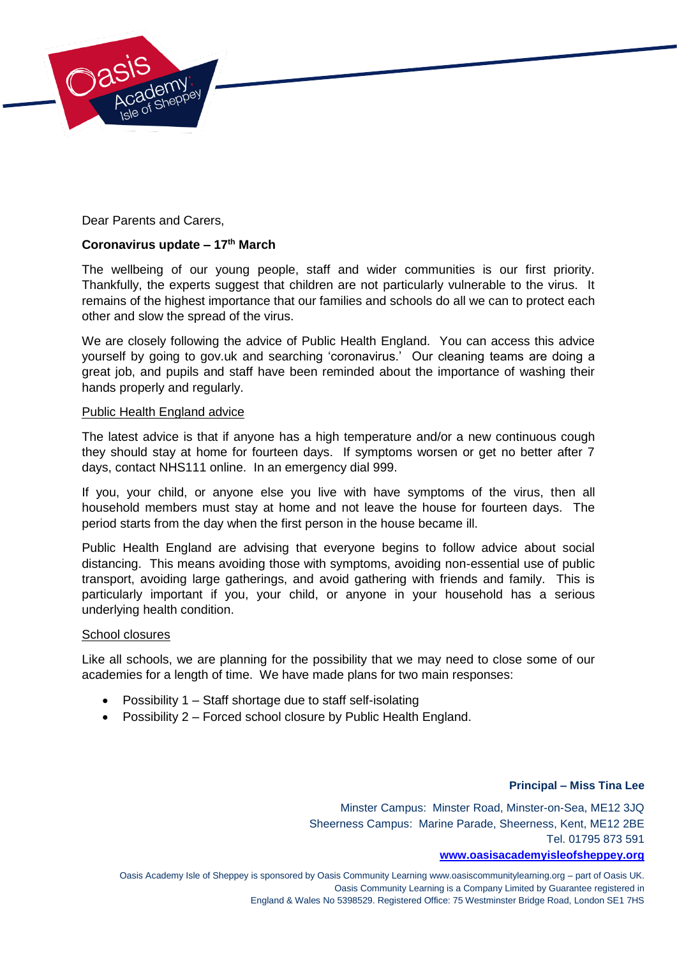

Dear Parents and Carers,

# **Coronavirus update – 17th March**

The wellbeing of our young people, staff and wider communities is our first priority. Thankfully, the experts suggest that children are not particularly vulnerable to the virus. It remains of the highest importance that our families and schools do all we can to protect each other and slow the spread of the virus.

We are closely following the advice of Public Health England. You can access this advice yourself by going to gov.uk and searching 'coronavirus.' Our cleaning teams are doing a great job, and pupils and staff have been reminded about the importance of washing their hands properly and regularly.

## Public Health England advice

The latest advice is that if anyone has a high temperature and/or a new continuous cough they should stay at home for fourteen days. If symptoms worsen or get no better after 7 days, contact NHS111 online. In an emergency dial 999.

If you, your child, or anyone else you live with have symptoms of the virus, then all household members must stay at home and not leave the house for fourteen days. The period starts from the day when the first person in the house became ill.

Public Health England are advising that everyone begins to follow advice about social distancing. This means avoiding those with symptoms, avoiding non-essential use of public transport, avoiding large gatherings, and avoid gathering with friends and family. This is particularly important if you, your child, or anyone in your household has a serious underlying health condition.

#### School closures

Like all schools, we are planning for the possibility that we may need to close some of our academies for a length of time. We have made plans for two main responses:

- Possibility 1 Staff shortage due to staff self-isolating
- Possibility 2 Forced school closure by Public Health England.

# **Principal – Miss Tina Lee**

Minster Campus: Minster Road, Minster-on-Sea, ME12 3JQ Sheerness Campus: Marine Parade, Sheerness, Kent, ME12 2BE Tel. 01795 873 591

### **[www.oasisacademyisleofsheppey.org](http://www.oasisacademyisleofsheppey.org/)**

Oasis Academy Isle of Sheppey is sponsored by Oasis Community Learning www.oasiscommunitylearning.org – part of Oasis UK. Oasis Community Learning is a Company Limited by Guarantee registered in England & Wales No 5398529. Registered Office: 75 Westminster Bridge Road, London SE1 7HS